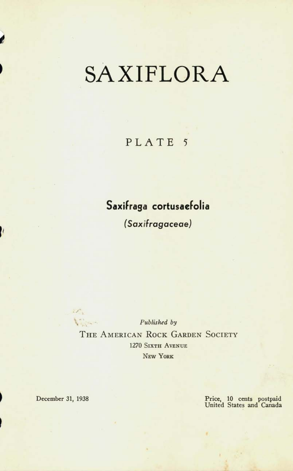## SAXIFLORA

## PLATE<sub>5</sub>

## **Saxifraga cortusaefolia**

*(S ax if rag ace a e)* 

Marine-*Published by*  THE AMERICAN ROCK GARDEN SOCIETY 1270 **SIXTH AVENUE NEW YORK** 

*•* 

*i* 

1

December 31, 1938 Price, 10 cents postpaid United States and Canada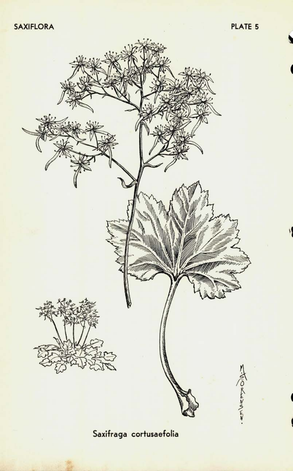

**Saxifraga cortusaefolia**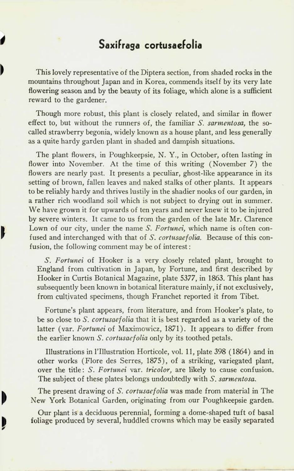## **Saxifraga cortusaefolia**

This lovely representative of the Diptera section, from shaded rocks in the mountains throughout Japan and in Korea, commends itself by its very late flowering season and by the beauty of its foliage, which alone is a sufficient reward to the gardener.

Though more robust, this plant is closely related, and similar in flower effect to, but without the runners of, the familiar *S. sarmentosa,* the socalled strawberry begonia, widely known as a house plant, and less generally as a quite hardy garden plant in shaded and dampish situations.

The plant flowers, in Poughkeepsie, N. Y., in October, often lasting in flower into November. At the time of this writing (November 7) the flowers are nearly past. It presents a peculiar, ghost-like appearance in its setting of brown, fallen leaves and naked stalks of other plants. It appears to be reliably hardy and thrives lustily in the shadier nooks of our garden, in a rather rich woodland soil which is not subject to drying out in summer. We have grown it for upwards of ten years and never knew it to be injured by severe winters. It came to us from the garden of the late Mr. Clarence Lown of our city, under the name *S. Fortunei,* which name is often confused and interchanged with that of 5. *cortusaefolia.* Because of this confusion, the following comment may be of interest:

*S. Fortunei* of Hooker is a very closely related plant, brought to England from cultivation in Japan, by Fortune, and first described by Hooker in Curtis Botanical Magazine, plate 5377, in 1863. This plant has subsequently been known in botanical literature mainly, if not exclusively, from cultivated specimens, though Franchet reported it from Tibet.

Fortune's plant appears, from literature, and from Hooker's plate, to be so close to 5\ *cortusaefolia* that it is best regarded as a variety of the latter (var. *Fortunei* of Maximowicz, 1871). It appears to differ from the earlier known S. cortusaefolia only by its toothed petals.

Illustrations in l'Hlustration Horticole, vol. 11, plate 398 (1864) and in other works (Flore des Serres, 1875), of a striking, variegated plant, over the title: *S. Fortunei* var. *tricolor,* are likely to cause confusion. The subject of these plates belongs undoubtedly with *S. sarmentosa.* 

The present drawing *oi S. cortusaefolia* was made from material in The New York Botanical Garden, originating from our Poughkeepsie garden.

Our plant is a deciduous perennial, forming a dome-shaped tuft of basal foliage produced by several, huddled crowns which may be easily separated